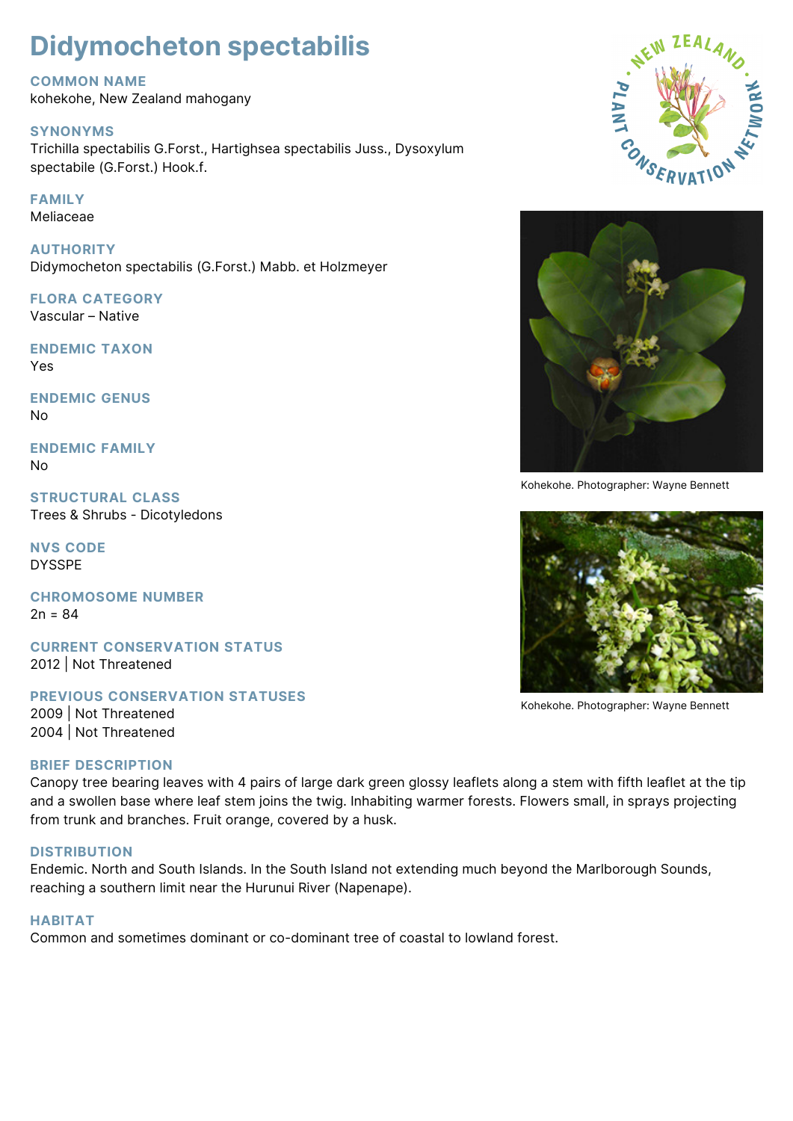# **Didymocheton spectabilis**

#### **COMMON NAME**

kohekohe, New Zealand mahogany

## **SYNONYMS**

Trichilla spectabilis G.Forst., Hartighsea spectabilis Juss., Dysoxylum spectabile (G.Forst.) Hook.f.

## **FAMILY**

Meliaceae

**AUTHORITY** Didymocheton spectabilis (G.Forst.) Mabb. et Holzmeyer

# **FLORA CATEGORY**

Vascular – Native

**ENDEMIC TAXON** Yes

**ENDEMIC GENUS** No

**ENDEMIC FAMILY** No

**STRUCTURAL CLASS** Trees & Shrubs - Dicotyledons

**NVS CODE** DYSSPE

**CHROMOSOME NUMBER**  $2n = 84$ 

**CURRENT CONSERVATION STATUS** 2012 | Not Threatened

**PREVIOUS CONSERVATION STATUSES** 2009 | Not Threatened 2004 | Not Threatened

#### **BRIEF DESCRIPTION**

Canopy tree bearing leaves with 4 pairs of large dark green glossy leaflets along a stem with fifth leaflet at the tip and a swollen base where leaf stem joins the twig. Inhabiting warmer forests. Flowers small, in sprays projecting from trunk and branches. Fruit orange, covered by a husk.

#### **DISTRIBUTION**

Endemic. North and South Islands. In the South Island not extending much beyond the Marlborough Sounds, reaching a southern limit near the Hurunui River (Napenape).

# **HABITAT**

Common and sometimes dominant or co-dominant tree of coastal to lowland forest.





Kohekohe. Photographer: Wayne Bennett



Kohekohe. Photographer: Wayne Bennett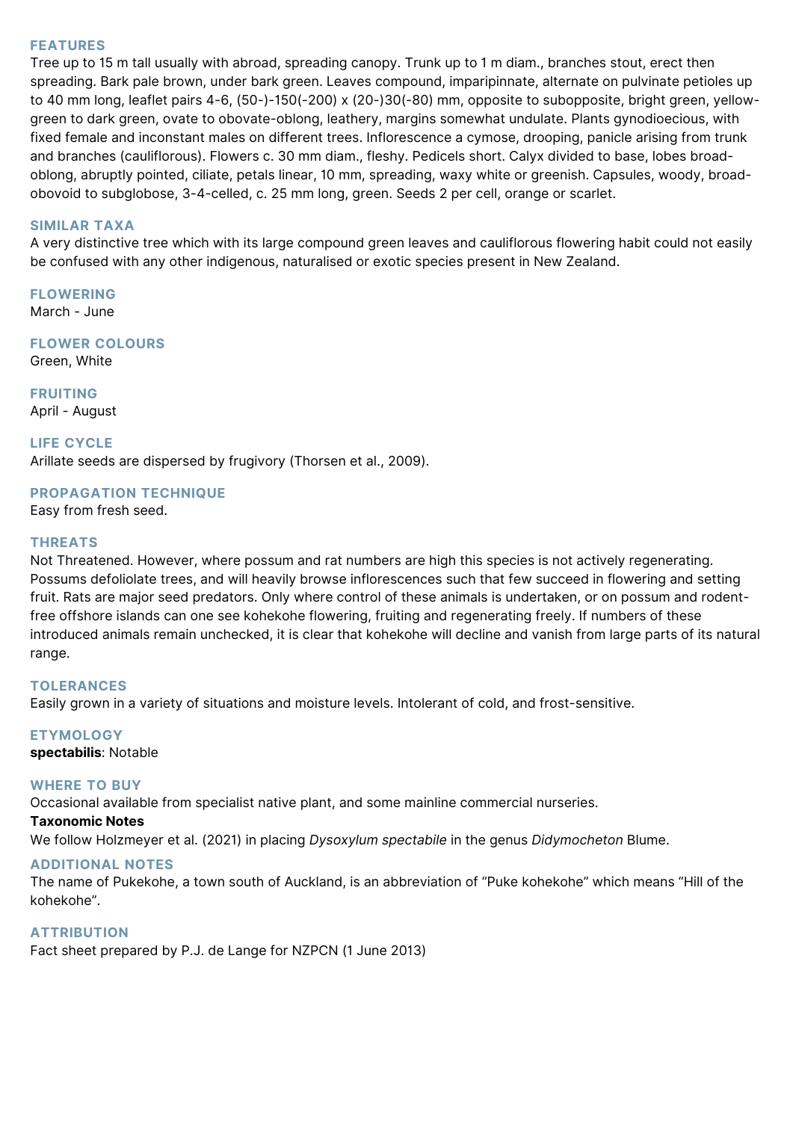#### **FEATURES**

Tree up to 15 m tall usually with abroad, spreading canopy. Trunk up to 1 m diam., branches stout, erect then spreading. Bark pale brown, under bark green. Leaves compound, imparipinnate, alternate on pulvinate petioles up to 40 mm long, leaflet pairs 4-6, (50-)-150(-200) x (20-)30(-80) mm, opposite to subopposite, bright green, yellowgreen to dark green, ovate to obovate-oblong, leathery, margins somewhat undulate. Plants gynodioecious, with fixed female and inconstant males on different trees. Inflorescence a cymose, drooping, panicle arising from trunk and branches (cauliflorous). Flowers c. 30 mm diam., fleshy. Pedicels short. Calyx divided to base, lobes broadoblong, abruptly pointed, ciliate, petals linear, 10 mm, spreading, waxy white or greenish. Capsules, woody, broadobovoid to subglobose, 3-4-celled, c. 25 mm long, green. Seeds 2 per cell, orange or scarlet.

#### **SIMILAR TAXA**

A very distinctive tree which with its large compound green leaves and cauliflorous flowering habit could not easily be confused with any other indigenous, naturalised or exotic species present in New Zealand.

**FLOWERING** March - June

**FLOWER COLOURS**

Green, White

**FRUITING** April - August

**LIFE CYCLE** Arillate seeds are dispersed by frugivory (Thorsen et al., 2009).

#### **PROPAGATION TECHNIQUE**

Easy from fresh seed.

#### **THREATS**

Not Threatened. However, where possum and rat numbers are high this species is not actively regenerating. Possums defoliolate trees, and will heavily browse inflorescences such that few succeed in flowering and setting fruit. Rats are major seed predators. Only where control of these animals is undertaken, or on possum and rodentfree offshore islands can one see kohekohe flowering, fruiting and regenerating freely. If numbers of these introduced animals remain unchecked, it is clear that kohekohe will decline and vanish from large parts of its natural range.

#### **TOLERANCES**

Easily grown in a variety of situations and moisture levels. Intolerant of cold, and frost-sensitive.

# **ETYMOLOGY**

**spectabilis**: Notable

#### **WHERE TO BUY**

Occasional available from specialist native plant, and some mainline commercial nurseries.

#### **Taxonomic Notes**

We follow Holzmeyer et al. (2021) in placing *Dysoxylum spectabile* in the genus *Didymocheton* Blume.

#### **ADDITIONAL NOTES**

The name of Pukekohe, a town south of Auckland, is an abbreviation of "Puke kohekohe" which means "Hill of the kohekohe".

#### **ATTRIBUTION**

Fact sheet prepared by P.J. de Lange for NZPCN (1 June 2013)